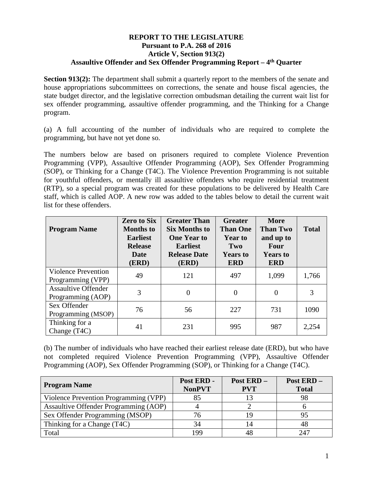## **REPORT TO THE LEGISLATURE Pursuant to P.A. 268 of 2016 Article V, Section 913(2) Assaultive Offender and Sex Offender Programming Report – 4th Quarter**

**Section 913(2):** The department shall submit a quarterly report to the members of the senate and house appropriations subcommittees on corrections, the senate and house fiscal agencies, the state budget director, and the legislative correction ombudsman detailing the current wait list for sex offender programming, assaultive offender programming, and the Thinking for a Change program.

(a) A full accounting of the number of individuals who are required to complete the programming, but have not yet done so.

The numbers below are based on prisoners required to complete Violence Prevention Programming (VPP), Assaultive Offender Programming (AOP), Sex Offender Programming (SOP), or Thinking for a Change (T4C). The Violence Prevention Programming is not suitable for youthful offenders, or mentally ill assaultive offenders who require residential treatment (RTP), so a special program was created for these populations to be delivered by Health Care staff, which is called AOP. A new row was added to the tables below to detail the current wait list for these offenders.

| <b>Program Name</b>                             | <b>Zero to Six</b><br><b>Months</b> to<br><b>Earliest</b><br><b>Release</b><br>Date<br>(ERD) | <b>Greater Than</b><br><b>Six Months to</b><br><b>One Year to</b><br><b>Earliest</b><br><b>Release Date</b><br>(ERD) | <b>Greater</b><br><b>Than One</b><br><b>Year to</b><br>Two<br><b>Years to</b><br><b>ERD</b> | <b>More</b><br><b>Than Two</b><br>and up to<br>Four<br><b>Years to</b><br><b>ERD</b> | <b>Total</b> |
|-------------------------------------------------|----------------------------------------------------------------------------------------------|----------------------------------------------------------------------------------------------------------------------|---------------------------------------------------------------------------------------------|--------------------------------------------------------------------------------------|--------------|
| <b>Violence Prevention</b><br>Programming (VPP) | 49                                                                                           | 121                                                                                                                  | 497                                                                                         | 1,099                                                                                | 1,766        |
| <b>Assaultive Offender</b><br>Programming (AOP) | 3                                                                                            | $\theta$                                                                                                             | $\overline{0}$                                                                              | $\overline{0}$                                                                       | 3            |
| Sex Offender<br>Programming (MSOP)              | 76                                                                                           | 56                                                                                                                   | 227                                                                                         | 731                                                                                  | 1090         |
| Thinking for a<br>Change (T <sub>4C</sub> )     | 41                                                                                           | 231                                                                                                                  | 995                                                                                         | 987                                                                                  | 2,254        |

(b) The number of individuals who have reached their earliest release date (ERD), but who have not completed required Violence Prevention Programming (VPP), Assaultive Offender Programming (AOP), Sex Offender Programming (SOP), or Thinking for a Change (T4C).

| <b>Program Name</b>                   | Post ERD -<br><b>NonPVT</b> | Post ERD-<br><b>PVT</b> | Post ERD-<br><b>Total</b> |
|---------------------------------------|-----------------------------|-------------------------|---------------------------|
| Violence Prevention Programming (VPP) | 85                          |                         | 98                        |
| Assaultive Offender Programming (AOP) |                             |                         |                           |
| Sex Offender Programming (MSOP)       | 76                          |                         | 95                        |
| Thinking for a Change (T4C)           | 34                          |                         | 48                        |
| Total                                 | 199                         |                         | 247                       |